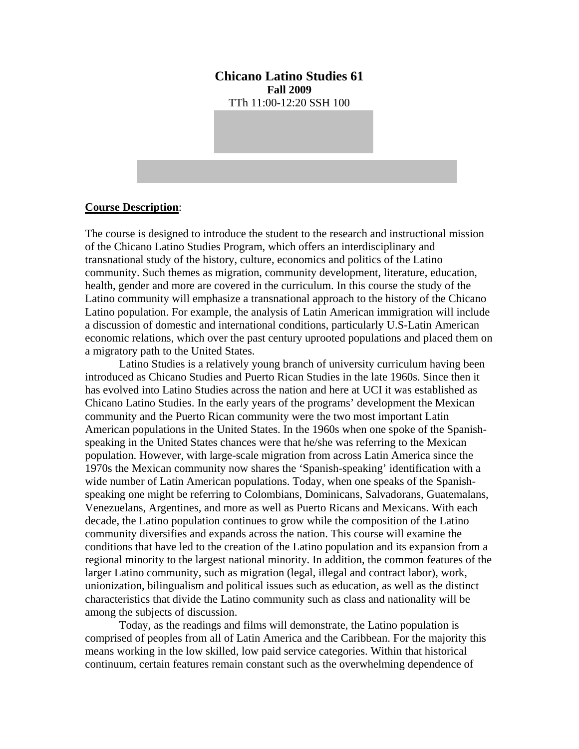**Chicano Latino Studies 61 Fall 2009**  TTh 11:00-12:20 SSH 100

#### **Course Description**:

The course is designed to introduce the student to the research and instructional mission of the Chicano Latino Studies Program, which offers an interdisciplinary and transnational study of the history, culture, economics and politics of the Latino community. Such themes as migration, community development, literature, education, health, gender and more are covered in the curriculum. In this course the study of the Latino community will emphasize a transnational approach to the history of the Chicano Latino population. For example, the analysis of Latin American immigration will include a discussion of domestic and international conditions, particularly U.S-Latin American economic relations, which over the past century uprooted populations and placed them on a migratory path to the United States.

Latino Studies is a relatively young branch of university curriculum having been introduced as Chicano Studies and Puerto Rican Studies in the late 1960s. Since then it has evolved into Latino Studies across the nation and here at UCI it was established as Chicano Latino Studies. In the early years of the programs' development the Mexican community and the Puerto Rican community were the two most important Latin American populations in the United States. In the 1960s when one spoke of the Spanishspeaking in the United States chances were that he/she was referring to the Mexican population. However, with large-scale migration from across Latin America since the 1970s the Mexican community now shares the 'Spanish-speaking' identification with a wide number of Latin American populations. Today, when one speaks of the Spanishspeaking one might be referring to Colombians, Dominicans, Salvadorans, Guatemalans, Venezuelans, Argentines, and more as well as Puerto Ricans and Mexicans. With each decade, the Latino population continues to grow while the composition of the Latino community diversifies and expands across the nation. This course will examine the conditions that have led to the creation of the Latino population and its expansion from a regional minority to the largest national minority. In addition, the common features of the larger Latino community, such as migration (legal, illegal and contract labor), work, unionization, bilingualism and political issues such as education, as well as the distinct characteristics that divide the Latino community such as class and nationality will be among the subjects of discussion.

Today, as the readings and films will demonstrate, the Latino population is comprised of peoples from all of Latin America and the Caribbean. For the majority this means working in the low skilled, low paid service categories. Within that historical continuum, certain features remain constant such as the overwhelming dependence of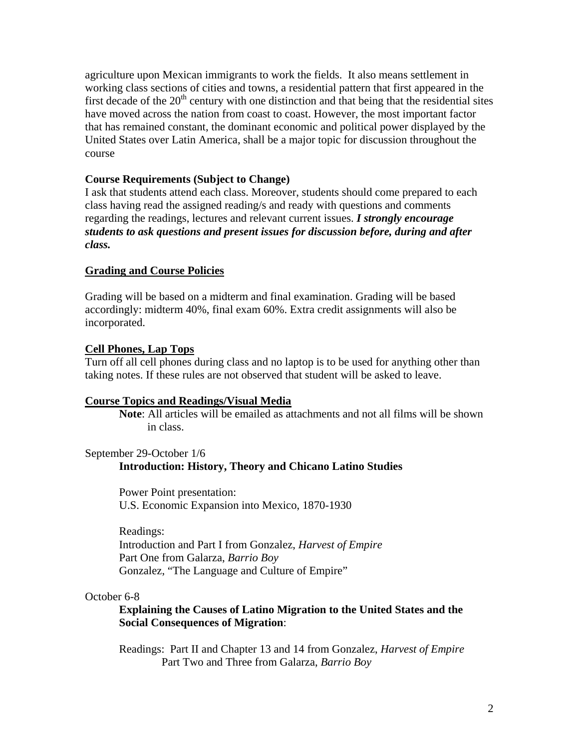agriculture upon Mexican immigrants to work the fields. It also means settlement in working class sections of cities and towns, a residential pattern that first appeared in the first decade of the  $20<sup>th</sup>$  century with one distinction and that being that the residential sites have moved across the nation from coast to coast. However, the most important factor that has remained constant, the dominant economic and political power displayed by the United States over Latin America, shall be a major topic for discussion throughout the course

# **Course Requirements (Subject to Change)**

I ask that students attend each class. Moreover, students should come prepared to each class having read the assigned reading/s and ready with questions and comments regarding the readings, lectures and relevant current issues. *I strongly encourage students to ask questions and present issues for discussion before, during and after class.*

# **Grading and Course Policies**

Grading will be based on a midterm and final examination. Grading will be based accordingly: midterm 40%, final exam 60%. Extra credit assignments will also be incorporated.

# **Cell Phones, Lap Tops**

Turn off all cell phones during class and no laptop is to be used for anything other than taking notes. If these rules are not observed that student will be asked to leave.

### **Course Topics and Readings/Visual Media**

 **Note**: All articles will be emailed as attachments and not all films will be shown in class.

### September 29-October 1/6

# **Introduction: History, Theory and Chicano Latino Studies**

Power Point presentation: U.S. Economic Expansion into Mexico, 1870-1930

Readings: Introduction and Part I from Gonzalez, *Harvest of Empire*  Part One from Galarza, *Barrio Boy* Gonzalez, "The Language and Culture of Empire"

### October 6-8

**Explaining the Causes of Latino Migration to the United States and the Social Consequences of Migration**:

Readings: Part II and Chapter 13 and 14 from Gonzalez, *Harvest of Empire* Part Two and Three from Galarza, *Barrio Boy*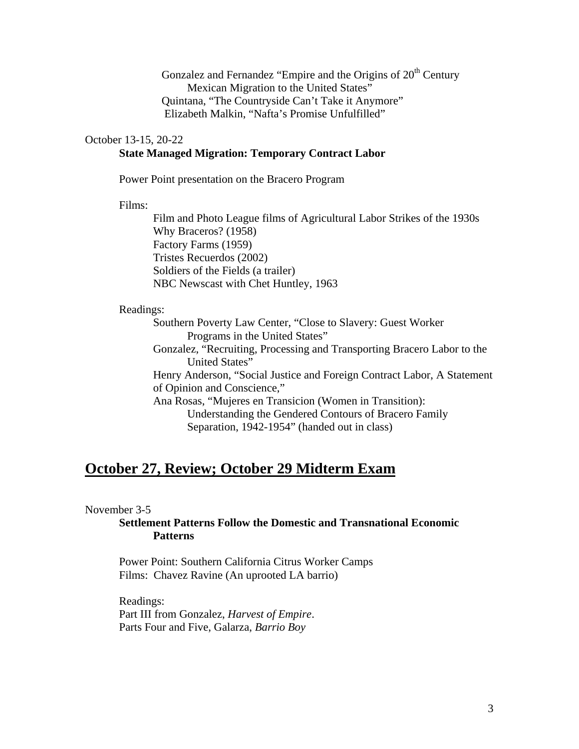Gonzalez and Fernandez "Empire and the Origins of  $20<sup>th</sup>$  Century Mexican Migration to the United States" Quintana, "The Countryside Can't Take it Anymore" Elizabeth Malkin, "Nafta's Promise Unfulfilled"

#### October 13-15, 20-22

# **State Managed Migration: Temporary Contract Labor**

Power Point presentation on the Bracero Program

Films:

Film and Photo League films of Agricultural Labor Strikes of the 1930s Why Braceros? (1958) Factory Farms (1959) Tristes Recuerdos (2002) Soldiers of the Fields (a trailer) NBC Newscast with Chet Huntley, 1963

#### Readings:

Southern Poverty Law Center, "Close to Slavery: Guest Worker Programs in the United States"

Gonzalez, "Recruiting, Processing and Transporting Bracero Labor to the United States"

Henry Anderson, "Social Justice and Foreign Contract Labor, A Statement of Opinion and Conscience,"

Ana Rosas, "Mujeres en Transicion (Women in Transition): Understanding the Gendered Contours of Bracero Family Separation, 1942-1954" (handed out in class)

# **October 27, Review; October 29 Midterm Exam**

### November 3-5

### **Settlement Patterns Follow the Domestic and Transnational Economic Patterns**

 Power Point: Southern California Citrus Worker Camps Films: Chavez Ravine (An uprooted LA barrio)

Readings: Part III from Gonzalez, *Harvest of Empire*. Parts Four and Five, Galarza, *Barrio Boy*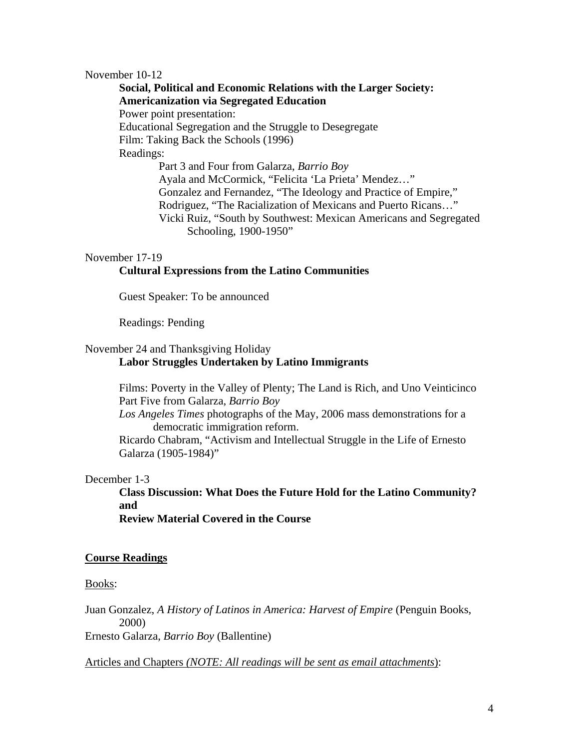#### November 10-12

**Social, Political and Economic Relations with the Larger Society: Americanization via Segregated Education**  Power point presentation: Educational Segregation and the Struggle to Desegregate Film: Taking Back the Schools (1996) Readings: Part 3 and Four from Galarza, *Barrio Boy* Ayala and McCormick, "Felicita 'La Prieta' Mendez…" Gonzalez and Fernandez, "The Ideology and Practice of Empire," Rodriguez, "The Racialization of Mexicans and Puerto Ricans…"

> Vicki Ruiz, "South by Southwest: Mexican Americans and Segregated Schooling, 1900-1950"

#### November 17-19

#### **Cultural Expressions from the Latino Communities**

Guest Speaker: To be announced

Readings: Pending

#### November 24 and Thanksgiving Holiday

#### **Labor Struggles Undertaken by Latino Immigrants**

Films: Poverty in the Valley of Plenty; The Land is Rich, and Uno Veinticinco Part Five from Galarza, *Barrio Boy*

*Los Angeles Times* photographs of the May, 2006 mass demonstrations for a democratic immigration reform.

 Ricardo Chabram, "Activism and Intellectual Struggle in the Life of Ernesto Galarza (1905-1984)"

#### December 1-3

**Class Discussion: What Does the Future Hold for the Latino Community? and** 

**Review Material Covered in the Course** 

#### **Course Readings**

#### Books:

Juan Gonzalez, *A History of Latinos in America: Harvest of Empire* (Penguin Books, 2000)

Ernesto Galarza, *Barrio Boy* (Ballentine)

Articles and Chapters *(NOTE: All readings will be sent as email attachments*):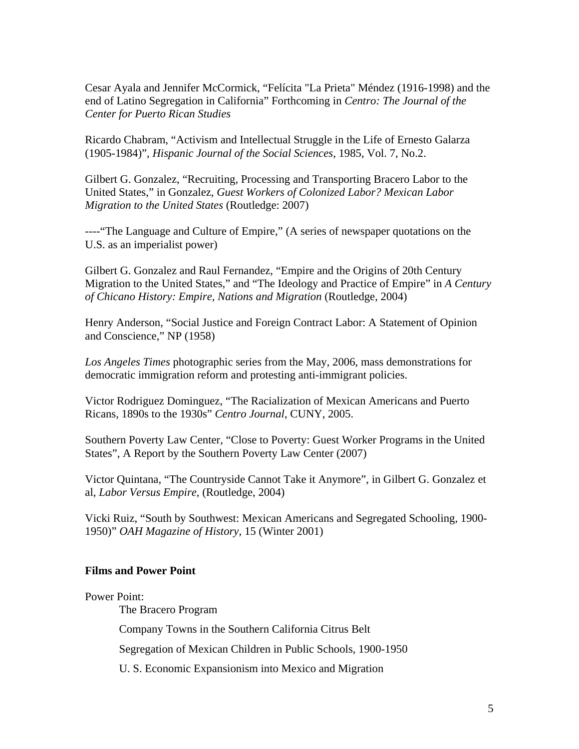Cesar Ayala and Jennifer McCormick, "Felícita "La Prieta" Méndez (1916-1998) and the end of Latino Segregation in California" Forthcoming in *Centro: The Journal of the Center for Puerto Rican Studies*

Ricardo Chabram, "Activism and Intellectual Struggle in the Life of Ernesto Galarza (1905-1984)", *Hispanic Journal of the Social Sciences*, 1985, Vol. 7, No.2.

Gilbert G. Gonzalez, "Recruiting, Processing and Transporting Bracero Labor to the United States," in Gonzalez, *Guest Workers of Colonized Labor? Mexican Labor Migration to the United States* (Routledge: 2007)

----"The Language and Culture of Empire," (A series of newspaper quotations on the U.S. as an imperialist power)

Gilbert G. Gonzalez and Raul Fernandez, "Empire and the Origins of 20th Century Migration to the United States," and "The Ideology and Practice of Empire" in *A Century of Chicano History: Empire, Nations and Migration* (Routledge, 2004)

Henry Anderson, "Social Justice and Foreign Contract Labor: A Statement of Opinion and Conscience," NP (1958)

*Los Angeles Times* photographic series from the May, 2006, mass demonstrations for democratic immigration reform and protesting anti-immigrant policies.

Victor Rodriguez Dominguez, "The Racialization of Mexican Americans and Puerto Ricans, 1890s to the 1930s" *Centro Journal*, CUNY, 2005.

Southern Poverty Law Center, "Close to Poverty: Guest Worker Programs in the United States", A Report by the Southern Poverty Law Center (2007)

Victor Quintana, "The Countryside Cannot Take it Anymore", in Gilbert G. Gonzalez et al, *Labor Versus Empire*, (Routledge, 2004)

Vicki Ruiz, "South by Southwest: Mexican Americans and Segregated Schooling, 1900- 1950)" *OAH Magazine of History*, 15 (Winter 2001)

### **Films and Power Point**

#### Power Point:

The Bracero Program

Company Towns in the Southern California Citrus Belt

Segregation of Mexican Children in Public Schools, 1900-1950

U. S. Economic Expansionism into Mexico and Migration